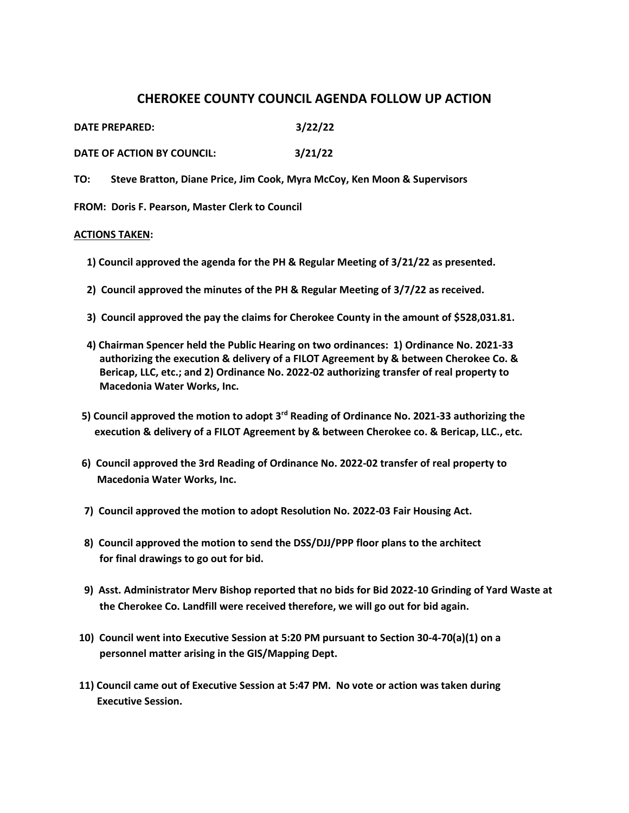## **CHEROKEE COUNTY COUNCIL AGENDA FOLLOW UP ACTION**

**DATE PREPARED: 3/22/22**

**DATE OF ACTION BY COUNCIL: 3/21/22**

**TO: Steve Bratton, Diane Price, Jim Cook, Myra McCoy, Ken Moon & Supervisors** 

**FROM: Doris F. Pearson, Master Clerk to Council** 

## **ACTIONS TAKEN:**

- **1) Council approved the agenda for the PH & Regular Meeting of 3/21/22 as presented.**
- **2) Council approved the minutes of the PH & Regular Meeting of 3/7/22 as received.**
- **3) Council approved the pay the claims for Cherokee County in the amount of \$528,031.81.**
- **4) Chairman Spencer held the Public Hearing on two ordinances: 1) Ordinance No. 2021-33 authorizing the execution & delivery of a FILOT Agreement by & between Cherokee Co. & Bericap, LLC, etc.; and 2) Ordinance No. 2022-02 authorizing transfer of real property to Macedonia Water Works, Inc.**
- **5) Council approved the motion to adopt 3rd Reading of Ordinance No. 2021-33 authorizing the execution & delivery of a FILOT Agreement by & between Cherokee co. & Bericap, LLC., etc.**
- **6) Council approved the 3rd Reading of Ordinance No. 2022-02 transfer of real property to Macedonia Water Works, Inc.**
- **7) Council approved the motion to adopt Resolution No. 2022-03 Fair Housing Act.**
- **8) Council approved the motion to send the DSS/DJJ/PPP floor plans to the architect for final drawings to go out for bid.**
- **9) Asst. Administrator Merv Bishop reported that no bids for Bid 2022-10 Grinding of Yard Waste at the Cherokee Co. Landfill were received therefore, we will go out for bid again.**
- **10) Council went into Executive Session at 5:20 PM pursuant to Section 30-4-70(a)(1) on a personnel matter arising in the GIS/Mapping Dept.**
- **11) Council came out of Executive Session at 5:47 PM. No vote or action was taken during Executive Session.**